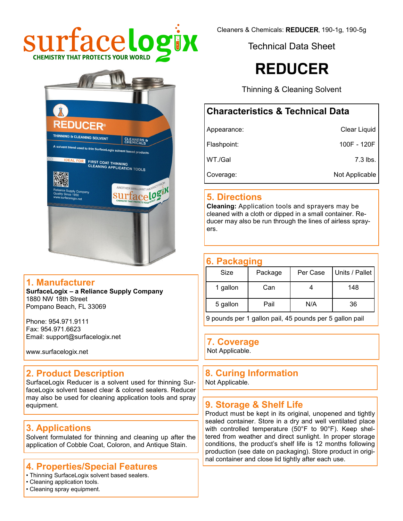



#### **1. Manufacturer**

**SurfaceLogix – a Reliance Supply Company** 1880 NW 18th Street Pompano Beach, FL 33069

Phone: 954.971.9111 Fax: 954.971.6623 Email: support@surfacelogix.net

www.surfacelogix.net

### **2. Product Description**

SurfaceLogix Reducer is a solvent used for thinning SurfaceLogix solvent based clear & colored sealers. Reducer may also be used for cleaning application tools and spray equipment.

### **3. Applications**

Solvent formulated for thinning and cleaning up after the application of Cobble Coat, Coloron, and Antique Stain.

### **4. Properties/Special Features**

- Thinning SurfaceLogix solvent based sealers.
- Cleaning application tools.
- Cleaning spray equipment.

Cleaners & Chemicals: REDUCER, 190-1g, 190-5g

Technical Data Sheet

## **REDUCER**

Thinning & Cleaning Solvent

### **Characteristics & Technical Data**

| Appearance: | Clear Liquid   |
|-------------|----------------|
| Flashpoint: | 100F - 120F    |
| WT./Gal     | 7.3 lbs.       |
| Coverage:   | Not Applicable |

### **5. Directions**

**Cleaning:** Application tools and sprayers may be cleaned with a cloth or dipped in a small container. Reducer may also be run through the lines of airless sprayers.

### **6. Packaging**

| Size     | Package | Per Case | Units / Pallet |
|----------|---------|----------|----------------|
| 1 gallon | Can     |          | 148            |
| 5 gallon | Pail    | N/A      | 36             |
|          |         |          |                |

9 pounds per 1 gallon pail, 45 pounds per 5 gallon pail

### **7. Coverage**

Not Applicable.

## **8. Curing Information**

Not Applicable.

### **9. Storage & Shelf Life**

Product must be kept in its original, unopened and tightly sealed container. Store in a dry and well ventilated place with controlled temperature (50°F to 90°F). Keep sheltered from weather and direct sunlight. In proper storage conditions, the product's shelf life is 12 months following production (see date on packaging). Store product in original container and close lid tightly after each use.